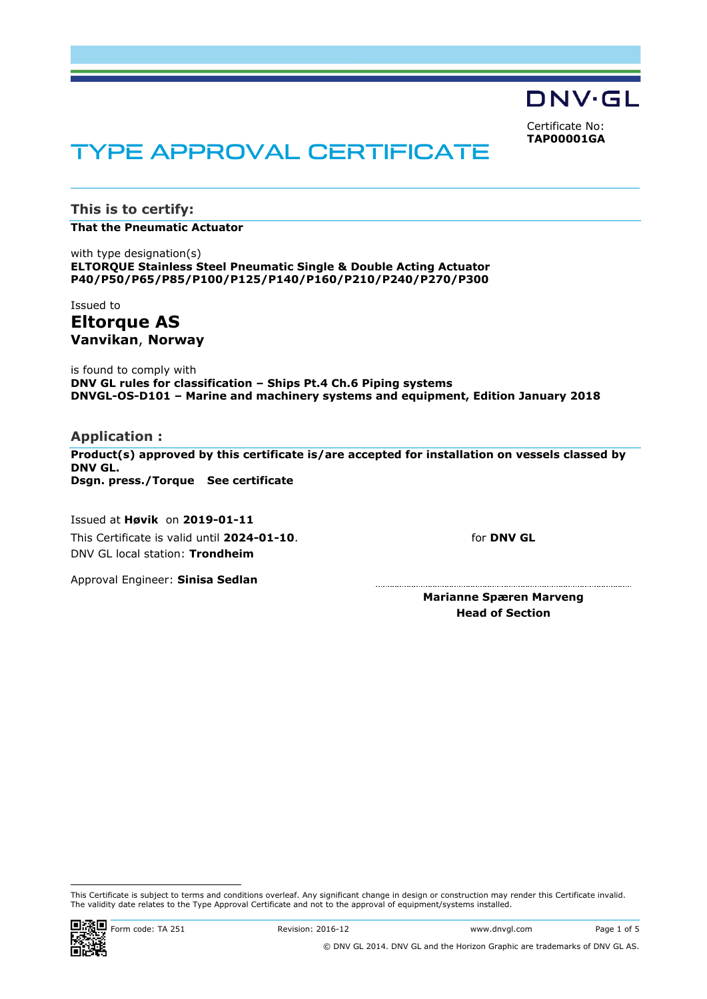DNV·GL

<span id="page-0-0"></span>Certificate No: **TAP00001GA**

# TYPE APPROVAL CERTIFICATE

**This is to certify:**

**That the Pneumatic Actuator**

with type designation(s) **ELTORQUE Stainless Steel Pneumatic Single & Double Acting Actuator P40/P50/P65/P85/P100/P125/P140/P160/P210/P240/P270/P300**

Issued to **Eltorque AS Vanvikan**, **Norway**

is found to comply with **DNV GL rules for classification – Ships Pt.4 Ch.6 Piping systems DNVGL-OS-D101 – Marine and machinery systems and equipment, Edition January 2018**

**Application :**

**Product(s) approved by this certificate is/are accepted for installation on vessels classed by DNV GL. Dsgn. press./Torque See certificate**

Issued at **Høvik** on **2019-01-11** This Certificate is valid until **2024-01-10**. DNV GL local station: **Trondheim**

for **DNV GL**

Approval Engineer: **Sinisa Sedlan**

**Marianne Spæren Marveng Head of Section**

This Certificate is subject to terms and conditions overleaf. Any significant change in design or construction may render this Certificate invalid. The validity date relates to the Type Approval Certificate and not to the approval of equipment/systems installed.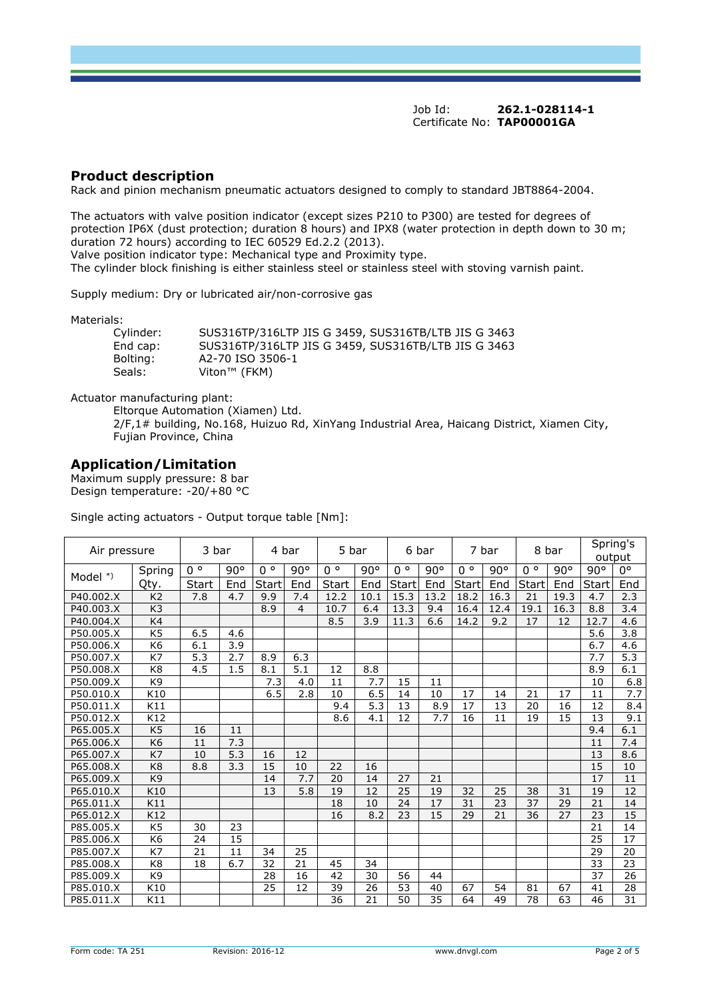## **Product description**

Rack and pinion mechanism pneumatic actuators designed to comply to standard JBT8864-2004.

The actuators with valve position indicator (except sizes P210 to P300) are tested for degrees of protection IP6X (dust protection; duration 8 hours) and IPX8 (water protection in depth down to 30 m; duration 72 hours) according to IEC 60529 Ed.2.2 (2013).

Valve position indicator type: Mechanical type and Proximity type.

The cylinder block finishing is either stainless steel or stainless steel with stoving varnish paint.

Supply medium: Dry or lubricated air/non-corrosive gas

Materials:

| Cylinder: | SUS316TP/316LTP JIS G 3459, SUS316TB/LTB JIS G 3463 |
|-----------|-----------------------------------------------------|
| End cap:  | SUS316TP/316LTP JIS G 3459, SUS316TB/LTB JIS G 3463 |
| Bolting:  | A2-70 ISO 3506-1                                    |
| Seals:    | Viton™ (FKM)                                        |

Actuator manufacturing plant:

Eltorque Automation (Xiamen) Ltd. 2/F,1# building, No.168, Huizuo Rd, XinYang Industrial Area, Haicang District, Xiamen City, Fujian Province, China

## **Application/Limitation**

Maximum supply pressure: 8 bar Design temperature: -20/+80 °C

Single acting actuators - Output torque table [Nm]:

| Air pressure |                | 3 bar        |              | 4 bar       |                | 5 bar       |      |             | 6 bar |             | 7 bar           | 8 bar       |              |       | Spring's<br>output |
|--------------|----------------|--------------|--------------|-------------|----------------|-------------|------|-------------|-------|-------------|-----------------|-------------|--------------|-------|--------------------|
|              | Spring         | $0^{\circ}$  | $90^{\circ}$ | $0^{\circ}$ | 90°            | $0^{\circ}$ | 90°  | $0^{\circ}$ | 90°   | $0^{\circ}$ | 90°             | $0^{\circ}$ | $90^{\circ}$ | 90°   | $0^{\circ}$        |
| Model $*)$   | Qty.           | <b>Start</b> | End          | Start       | End            | Start       | End  | Start       | End   | Start       | End             | Start       | End          | Start | End                |
| P40.002.X    | K <sub>2</sub> | 7.8          | 4.7          | 9.9         | 7.4            | 12.2        | 10.1 | 15.3        | 13.2  | 18.2        | 16.3            | 21          | 19.3         | 4.7   | 2.3                |
| P40.003.X    | K <sub>3</sub> |              |              | 8.9         | $\overline{4}$ | 10.7        | 6.4  | 13.3        | 9.4   | 16.4        | 12.4            | 19.1        | 16.3         | 8.8   | 3.4                |
| P40.004.X    | K4             |              |              |             |                | 8.5         | 3.9  | 11.3        | 6.6   | 14.2        | 9.2             | 17          | 12           | 12.7  | 4.6                |
| P50.005.X    | K <sub>5</sub> | 6.5          | 4.6          |             |                |             |      |             |       |             |                 |             |              | 5.6   | 3.8                |
| P50.006.X    | K <sub>6</sub> | 6.1          | 3.9          |             |                |             |      |             |       |             |                 |             |              | 6.7   | 4.6                |
| P50.007.X    | K7             | 5.3          | 2.7          | 8.9         | 6.3            |             |      |             |       |             |                 |             |              | 7.7   | 5.3                |
| P50.008.X    | K <sub>8</sub> | 4.5          | 1.5          | 8.1         | 5.1            | 12          | 8.8  |             |       |             |                 |             |              | 8.9   | 6.1                |
| P50.009.X    | K <sub>9</sub> |              |              | 7.3         | 4.0            | 11          | 7.7  | 15          | 11    |             |                 |             |              | 10    | 6.8                |
| P50.010.X    | K10            |              |              | 6.5         | 2.8            | 10          | 6.5  | 14          | 10    | 17          | 14              | 21          | 17           | 11    | 7.7                |
| P50.011.X    | K11            |              |              |             |                | 9.4         | 5.3  | 13          | 8.9   | 17          | 13              | 20          | 16           | 12    | 8.4                |
| P50.012.X    | K12            |              |              |             |                | 8.6         | 4.1  | 12          | 7.7   | 16          | 11              | 19          | 15           | 13    | 9.1                |
| P65.005.X    | K <sub>5</sub> | 16           | 11           |             |                |             |      |             |       |             |                 |             |              | 9.4   | 6.1                |
| P65.006.X    | K <sub>6</sub> | 11           | 7.3          |             |                |             |      |             |       |             |                 |             |              | 11    | 7.4                |
| P65.007.X    | K7             | 10           | 5.3          | 16          | 12             |             |      |             |       |             |                 |             |              | 13    | 8.6                |
| P65.008.X    | K <sub>8</sub> | 8.8          | 3.3          | 15          | 10             | 22          | 16   |             |       |             |                 |             |              | 15    | 10                 |
| P65.009.X    | K <sub>9</sub> |              |              | 14          | 7.7            | 20          | 14   | 27          | 21    |             |                 |             |              | 17    | 11                 |
| P65.010.X    | K10            |              |              | 13          | 5.8            | 19          | 12   | 25          | 19    | 32          | 25              | 38          | 31           | 19    | 12                 |
| P65.011.X    | K11            |              |              |             |                | 18          | 10   | 24          | 17    | 31          | 23              | 37          | 29           | 21    | 14                 |
| P65.012.X    | K12            |              |              |             |                | 16          | 8.2  | 23          | 15    | 29          | $\overline{21}$ | 36          | 27           | 23    | 15                 |
| P85.005.X    | K <sub>5</sub> | 30           | 23           |             |                |             |      |             |       |             |                 |             |              | 21    | 14                 |
| P85.006.X    | K <sub>6</sub> | 24           | 15           |             |                |             |      |             |       |             |                 |             |              | 25    | $\overline{17}$    |
| P85.007.X    | K7             | 21           | 11           | 34          | 25             |             |      |             |       |             |                 |             |              | 29    | 20                 |
| P85.008.X    | K <sub>8</sub> | 18           | 6.7          | 32          | 21             | 45          | 34   |             |       |             |                 |             |              | 33    | 23                 |
| P85.009.X    | K <sub>9</sub> |              |              | 28          | 16             | 42          | 30   | 56          | 44    |             |                 |             |              | 37    | 26                 |
| P85.010.X    | K10            |              |              | 25          | 12             | 39          | 26   | 53          | 40    | 67          | 54              | 81          | 67           | 41    | 28                 |
| P85.011.X    | K11            |              |              |             |                | 36          | 21   | 50          | 35    | 64          | 49              | 78          | 63           | 46    | 31                 |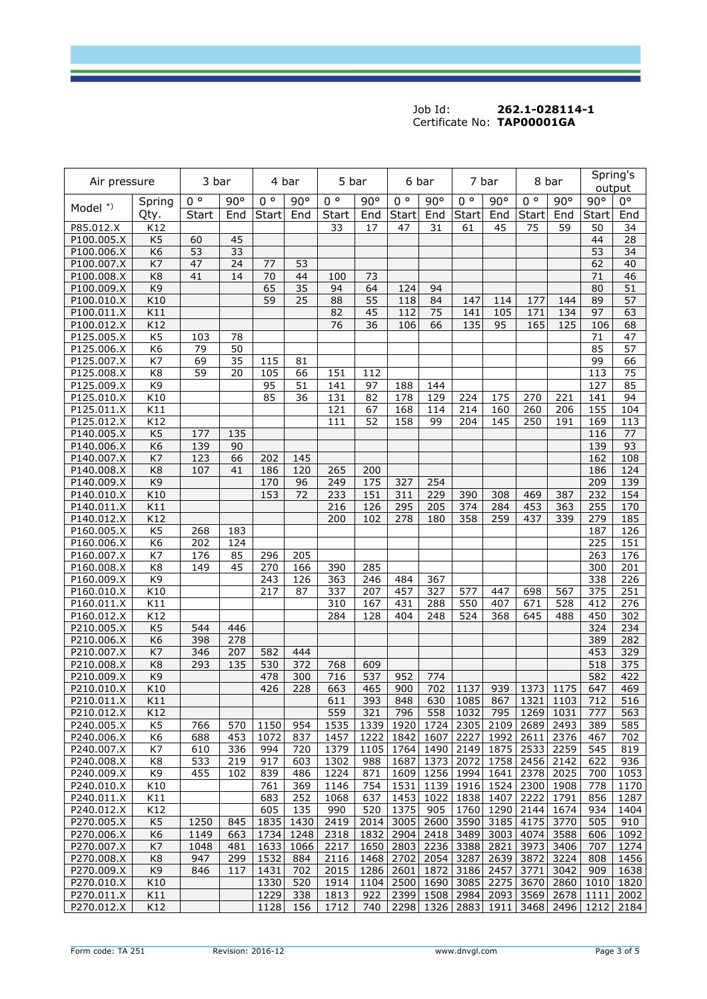| Air pressure |                  | 3 bar        |     | 4 bar       |      | 5 bar        |      |              | 6 bar     |              | 7 bar |              | 8 bar | Spring's<br>output |                 |
|--------------|------------------|--------------|-----|-------------|------|--------------|------|--------------|-----------|--------------|-------|--------------|-------|--------------------|-----------------|
| Model *)     | Spring           | $0^{\circ}$  | 90° | $0^{\circ}$ | 90°  | $0^{\circ}$  | 90°  | $0^{\circ}$  | 90°       | $0^{\circ}$  | 90°   | $0^{\circ}$  | 90°   | $90^\circ$         | $0^{\circ}$     |
|              | Qty.             | <b>Start</b> | End | Start       | End  | <b>Start</b> | End  | <b>Start</b> | End       | <b>Start</b> | End   | <b>Start</b> | End   | <b>Start</b>       | End             |
| P85.012.X    | K12              |              |     |             |      | 33           | 17   | 47           | 31        | 61           | 45    | 75           | 59    | 50                 | 34              |
| P100.005.X   | K <sub>5</sub>   | 60           | 45  |             |      |              |      |              |           |              |       |              |       | 44                 | $\overline{28}$ |
| P100.006.X   | K <sub>6</sub>   | 53           | 33  |             |      |              |      |              |           |              |       |              |       | 53                 | 34              |
| P100.007.X   | K7               | 47           | 24  | 77          | 53   |              |      |              |           |              |       |              |       | 62                 | 40              |
| P100.008.X   | K <sub>8</sub>   | 41           | 14  | 70          | 44   | 100          | 73   |              |           |              |       |              |       | $\overline{71}$    | $\overline{46}$ |
| P100.009.X   | K9               |              |     | 65          | 35   | 94           | 64   | 124          | 94        |              |       |              |       | 80                 | 51              |
| P100.010.X   | K10              |              |     | 59          | 25   | 88           | 55   | 118          | 84        | 147          | 114   | 177          | 144   | 89                 | 57              |
| P100.011.X   | K11              |              |     |             |      | 82           | 45   | 112          | 75        | 141          | 105   | 171          | 134   | 97                 | 63              |
| P100.012.X   | K12              |              |     |             |      | 76           | 36   | 106          | 66        | 135          | 95    | 165          | 125   | 106                | 68              |
| P125.005.X   | K <sub>5</sub>   | 103          | 78  |             |      |              |      |              |           |              |       |              |       | 71                 | 47              |
| P125.006.X   | K <sub>6</sub>   | 79           | 50  |             |      |              |      |              |           |              |       |              |       | 85                 | 57              |
| P125.007.X   | K7               | 69           | 35  | 115         | 81   |              |      |              |           |              |       |              |       | 99                 | 66              |
| P125.008.X   | K8               | 59           | 20  | 105         | 66   | 151          | 112  |              |           |              |       |              |       | 113                | 75              |
| P125.009.X   | K <sub>9</sub>   |              |     | 95          | 51   | 141          | 97   | 188          | 144       |              |       |              |       | 127                | 85              |
| P125.010.X   | K10              |              |     | 85          | 36   | 131          | 82   | 178          | 129       | 224          | 175   | 270          | 221   | 141                | 94              |
| P125.011.X   | K11              |              |     |             |      | 121          | 67   | 168          | 114       | 214          | 160   | 260          | 206   | 155                | 104             |
| P125.012.X   | K12              |              |     |             |      | 111          | 52   | 158          | 99        | 204          | 145   | 250          | 191   | 169                | 113             |
| P140.005.X   | K <sub>5</sub>   | 177          | 135 |             |      |              |      |              |           |              |       |              |       | 116                | 77              |
| P140.006.X   | K <sub>6</sub>   | 139          | 90  |             |      |              |      |              |           |              |       |              |       | 139                | 93              |
| P140.007.X   | K7               | 123          | 66  | 202         | 145  |              |      |              |           |              |       |              |       | 162                | 108             |
| P140.008.X   | K <sub>8</sub>   | 107          | 41  | 186         | 120  | 265          | 200  |              |           |              |       |              |       | 186                | 124             |
| P140.009.X   | K <sub>9</sub>   |              |     | 170         | 96   | 249          | 175  | 327          | 254       |              |       |              |       | 209                | 139             |
| P140.010.X   | K10              |              |     | 153         | 72   | 233          | 151  | 311          | 229       | 390          | 308   | 469          | 387   | 232                | 154             |
| P140.011.X   | K11              |              |     |             |      | 216          | 126  | 295          | 205       | 374          | 284   | 453          | 363   | 255                | 170             |
| P140.012.X   | K12              |              |     |             |      | 200          | 102  | 278          | 180       | 358          | 259   | 437          | 339   | 279                | 185             |
| P160.005.X   | K <sub>5</sub>   | 268          | 183 |             |      |              |      |              |           |              |       |              |       | 187                | 126             |
| P160.006.X   | K <sub>6</sub>   | 202          | 124 |             |      |              |      |              |           |              |       |              |       | 225                | 151             |
| P160.007.X   | K7               | 176          | 85  | 296         | 205  |              |      |              |           |              |       |              |       | 263                | 176             |
| P160.008.X   | K8               | 149          | 45  | 270         | 166  | 390          | 285  |              |           |              |       |              |       | 300                | 201             |
| P160.009.X   | K9               |              |     | 243         | 126  | 363          | 246  | 484          | 367       |              |       |              |       | 338                | 226             |
| P160.010.X   | K10              |              |     | 217         | 87   | 337          | 207  | 457          | 327       | 577          | 447   | 698          | 567   | 375                | 251             |
| P160.011.X   | K11              |              |     |             |      | 310          | 167  | 431          | 288       | 550          | 407   | 671          | 528   | 412                | 276             |
| P160.012.X   | K12              |              |     |             |      | 284          | 128  | 404          | 248       | 524          | 368   | 645          | 488   | 450                | 302             |
| P210.005.X   | K <sub>5</sub>   | 544          | 446 |             |      |              |      |              |           |              |       |              |       | 324                | 234             |
| P210.006.X   | K <sub>6</sub>   | 398          | 278 |             |      |              |      |              |           |              |       |              |       | 389                | 282             |
| P210.007.X   | K7               | 346          | 207 | 582         | 444  |              |      |              |           |              |       |              |       | 453                | 329             |
| P210.008.X   | K <sub>8</sub>   | 293          | 135 | 530         | 372  | 768          | 609  |              |           |              |       |              |       | 518                | 375             |
| P210.009.X   | K9               |              |     | 478         | 300  | 716          | 537  | 952          | 774       |              |       |              |       | 582                | 422             |
| P210.010.X   | $\overline{K}10$ |              |     | 426         | 228  | 663          | 465  | 900          | 702       | 1137         | 939   | 1373         | 1175  | 647                | 469             |
| P210.011.X   | K11              |              |     |             |      | 611          | 393  | 848          | 630       | 1085         | 867   | 1321         | 1103  | 712                | 516             |
| P210.012.X   | K12              |              |     |             |      | 559          | 321  | 796          | 558       | 1032         | 795   | 1269         | 1031  | 777                | 563             |
| P240.005.X   | K5               | 766          | 570 | 1150        | 954  | 1535         | 1339 | 1920         | 1724      | 2305         | 2109  | 2689         | 2493  | 389                | 585             |
| P240.006.X   | K <sub>6</sub>   | 688          | 453 | 1072        | 837  | 1457         | 1222 | 1842         | 1607      | 2227         | 1992  | 2611         | 2376  | 467                | 702             |
| P240.007.X   | K7               | 610          | 336 | 994         | 720  | 1379         | 1105 | 1764         | 1490      | 2149         | 1875  | 2533         | 2259  | 545                | 819             |
| P240.008.X   | K8               | 533          | 219 | 917         | 603  | 1302         | 988  | 1687         | 1373      | 2072         | 1758  | 2456         | 2142  | 622                | 936             |
| P240.009.X   | K9               | 455          | 102 | 839         | 486  | 1224         | 871  | 1609         |           | 1256 1994    | 1641  | 2378         | 2025  | 700                | 1053            |
| P240.010.X   | K10              |              |     | 761         | 369  | 1146         | 754  | 1531         |           | 1139 1916    | 1524  | 2300         | 1908  | 778                | 1170            |
| P240.011.X   | K11              |              |     | 683         | 252  | 1068         | 637  | 1453         | 1022      | 1838         | 1407  | 2222         | 1791  | 856                | 1287            |
| P240.012.X   | K12              |              |     | 605         | 135  | 990          | 520  | 1375         | 905       | 1760         | 1290  | 2144         | 1674  | 934                | 1404            |
| P270.005.X   | K5               | 1250         | 845 | 1835        | 1430 | 2419         | 2014 | 3005         | 2600      | 3590         | 3185  | 4175         | 3770  | 505                | 910             |
| P270.006.X   | K <sub>6</sub>   | 1149         | 663 | 1734        | 1248 | 2318         | 1832 | 2904         | 2418      | 3489         | 3003  | 4074         | 3588  | 606                | 1092            |
| P270.007.X   | K7               | 1048         | 481 | 1633        | 1066 | 2217         | 1650 | 2803         |           | 2236 3388    | 2821  | 3973         | 3406  | 707                | 1274            |
| P270.008.X   | K <sub>8</sub>   | 947          | 299 | 1532        | 884  | 2116         | 1468 | 2702         | 2054      | 3287         | 2639  | 3872         | 3224  | 808                | 1456            |
| P270.009.X   | K9               | 846          | 117 | 1431        | 702  | 2015         | 1286 | 2601         | 1872      | 3186         | 2457  | 3771         | 3042  | 909                | 1638            |
| P270.010.X   | K10              |              |     | 1330        | 520  | 1914         | 1104 | 2500         | 1690      | 3085         | 2275  | 3670         | 2860  | 1010               | 1820            |
| P270.011.X   | K11              |              |     | 1229        | 338  | 1813         | 922  | 2399         | 1508      | 2984         | 2093  | 3569         | 2678  | 1111               | 2002            |
| P270.012.X   | K12              |              |     | 1128        | 156  | 1712         | 740  |              | 2298 1326 | 2883         | 1911  | 3468         | 2496  | 1212               | 2184            |